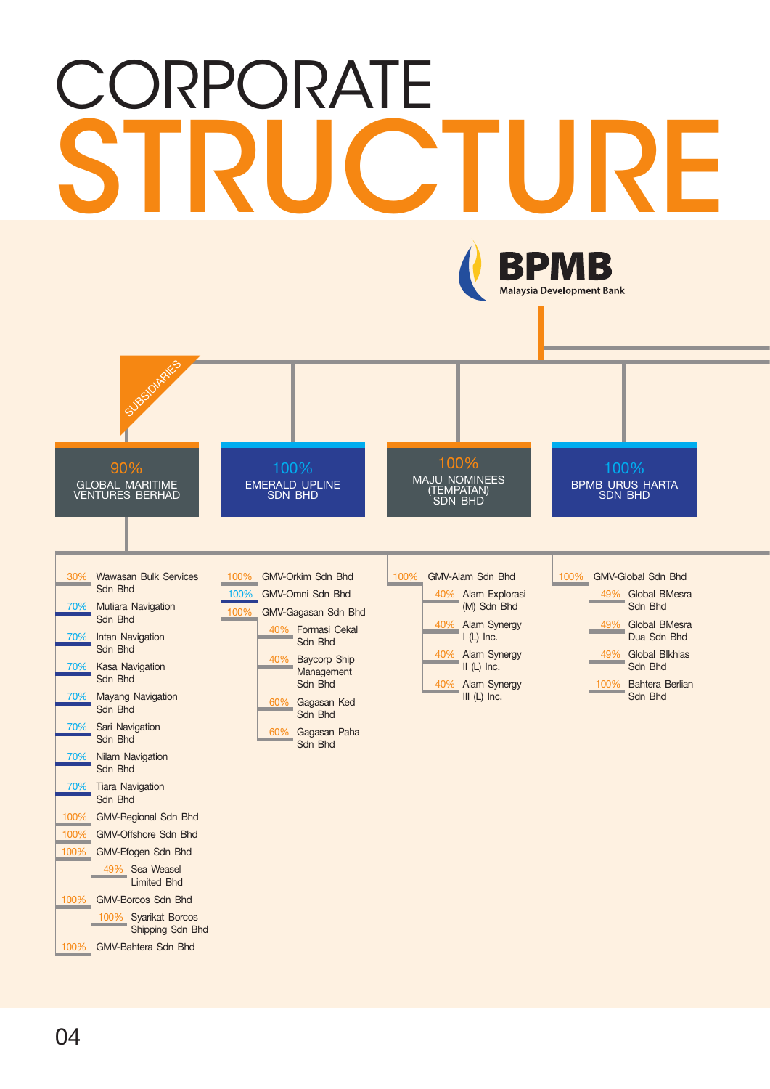## **CORPORATE** STRUCTURE



04